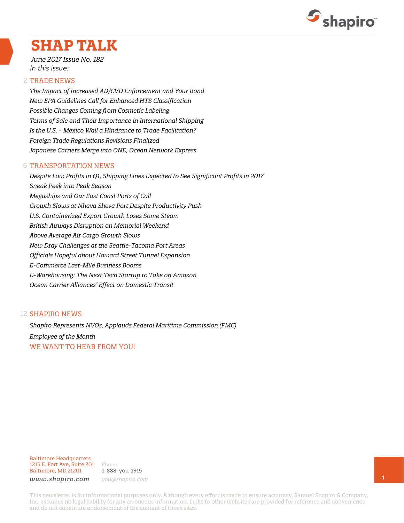

## **SHAP TALK**

*June 2017 Issue No. 182* In this issue:

#### 2 TRADE NEWS

*The Impact of Increased AD/CVD Enforcement and Your Bond New EPA Guidelines Call for Enhanced HTS Classification Possible Changes Coming from Cosmetic Labeling Terms of Sale and Their Importance in International Shipping Is the U.S. - Mexico Wall a Hindrance to Trade Facilitation? Foreign Trade Regulations Revisions Finalized Japanese Carriers Merge into ONE, Ocean Network Express*

#### 6 TRANSPORTATION NEWS

*Despite Low Profits in Q1, Shipping Lines Expected to See Significant Profits in 2017 Sneak Peek into Peak Season Megaships and Our East Coast Ports of Call Growth Slows at Nhava Sheva Port Despite Productivity Push U.S. Containerized Export Growth Loses Some Steam British Airways Disruption on Memorial Weekend Above Average Air Cargo Growth Slows New Dray Challenges at the Seattle-Tacoma Port Areas Officials Hopeful about Howard Street Tunnel Expansion E-Commerce Last-Mile Business Booms E-Warehousing: The Next Tech Startup to Take on Amazon Ocean Carrier Alliances' Effect on Domestic Transit*

#### 12 **SHAPIRO NEWS**

*Shapiro Represents NVOs, Applauds Federal Maritime Commission (FMC) Employee of the Month* WE WANT TO HEAR FROM YOU!

Baltimore Headquarters 1215 E. Fort Ave, Suite 201 Baltimore, MD 21201

Phone 1-888-you-1915 *www.shapiro.com you@shapiro.com*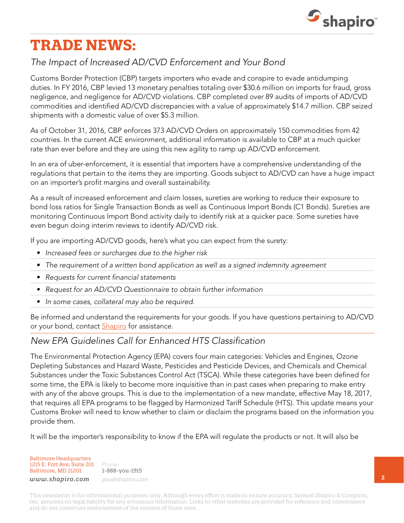

# **TRADE NEWS:**

### *The Impact of Increased AD/CVD Enforcement and Your Bond*

Customs Border Protection (CBP) targets importers who evade and conspire to evade antidumping duties. In FY 2016, CBP levied 13 monetary penalties totaling over \$30.6 million on imports for fraud, gross negligence, and negligence for AD/CVD violations. CBP completed over 89 audits of imports of AD/CVD commodities and identified AD/CVD discrepancies with a value of approximately \$14.7 million. CBP seized shipments with a domestic value of over \$5.3 million.

As of October 31, 2016, CBP enforces 373 AD/CVD Orders on approximately 150 commodities from 42 countries. In the current ACE environment, additional information is available to CBP at a much quicker rate than ever before and they are using this new agility to ramp up AD/CVD enforcement.

In an era of uber-enforcement, it is essential that importers have a comprehensive understanding of the regulations that pertain to the items they are importing. Goods subject to AD/CVD can have a huge impact on an importer's profit margins and overall sustainability.

As a result of increased enforcement and claim losses, sureties are working to reduce their exposure to bond loss ratios for Single Transaction Bonds as well as Continuous Import Bonds (C1 Bonds). Sureties are monitoring Continuous Import Bond activity daily to identify risk at a quicker pace. Some sureties have even begun doing interim reviews to identify AD/CVD risk.

If you are importing AD/CVD goods, here's what you can expect from the surety:

- *• Increased fees or surcharges due to the higher risk*
- *• The requirement of a written bond application as well as a signed indemnity agreement*
- *• Requests for current financial statements*
- *• Request for an AD/CVD Questionnaire to obtain further information*
- *• In some cases, collateral may also be required.*

Be informed and understand the requirements for your goods. If you have questions pertaining to AD/CVD or your bond, contact **Shapiro** for assistance.

#### *New EPA Guidelines Call for Enhanced HTS Classification*

The Environmental Protection Agency (EPA) covers four main categories: Vehicles and Engines, Ozone Depleting Substances and Hazard Waste, Pesticides and Pesticide Devices, and Chemicals and Chemical Substances under the Toxic Substances Control Act (TSCA). While these categories have been defined for some time, the EPA is likely to become more inquisitive than in past cases when preparing to make entry with any of the above groups. This is due to the implementation of a new mandate, effective May 18, 2017, that requires all EPA programs to be flagged by Harmonized Tariff Schedule (HTS). This update means your Customs Broker will need to know whether to claim or disclaim the programs based on the information you provide them.

It will be the importer's responsibility to know if the EPA will regulate the products or not. It will also be

Baltimore Headquarters 1215 E. Fort Ave, Suite 201 Baltimore, MD 21201

Phone 1-888-you-1915 *www.shapiro.com you@shapiro.com*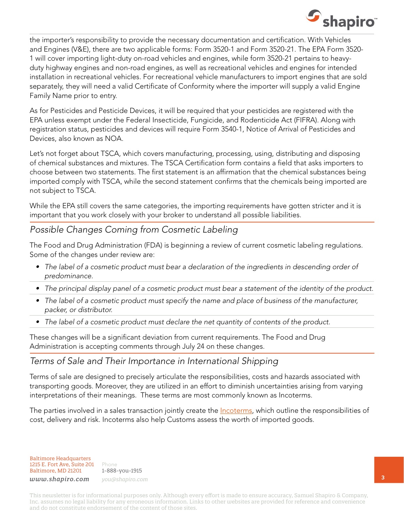

the importer's responsibility to provide the necessary documentation and certification. With Vehicles and Engines (V&E), there are two applicable forms: Form 3520-1 and Form 3520-21. The EPA Form 3520- 1 will cover importing light-duty on-road vehicles and engines, while form 3520-21 pertains to heavyduty highway engines and non-road engines, as well as recreational vehicles and engines for intended installation in recreational vehicles. For recreational vehicle manufacturers to import engines that are sold separately, they will need a valid Certificate of Conformity where the importer will supply a valid Engine Family Name prior to entry.

As for Pesticides and Pesticide Devices, it will be required that your pesticides are registered with the EPA unless exempt under the Federal Insecticide, Fungicide, and Rodenticide Act (FIFRA). Along with registration status, pesticides and devices will require Form 3540-1, Notice of Arrival of Pesticides and Devices, also known as NOA.

Let's not forget about TSCA, which covers manufacturing, processing, using, distributing and disposing of chemical substances and mixtures. The TSCA Certification form contains a field that asks importers to choose between two statements. The first statement is an affirmation that the chemical substances being imported comply with TSCA, while the second statement confirms that the chemicals being imported are not subject to TSCA.

While the EPA still covers the same categories, the importing requirements have gotten stricter and it is important that you work closely with your broker to understand all possible liabilities.

#### *Possible Changes Coming from Cosmetic Labeling*

The Food and Drug Administration (FDA) is beginning a review of current cosmetic labeling regulations. Some of the changes under review are:

- The label of a cosmetic product must bear a declaration of the ingredients in descending order of *predominance.*
- *• The principal display panel of a cosmetic product must bear a statement of the identity of the product.*
- *• The label of a cosmetic product must specify the name and place of business of the manufacturer, packer, or distributor.*
- *• The label of a cosmetic product must declare the net quantity of contents of the product.*

These changes will be a significant deviation from current requirements. The Food and Drug Administration is accepting comments through July 24 on these changes.

#### *Terms of Sale and Their Importance in International Shipping*

Terms of sale are designed to precisely articulate the responsibilities, costs and hazards associated with transporting goods. Moreover, they are utilized in an effort to diminish uncertainties arising from varying interpretations of their meanings. These terms are most commonly known as Incoterms.

The parties involved in a sales transaction jointly create the *[Incoterms](http://www.shapiro.com/commercial-cargo/quick-facts/incoterms-2010/)*, which outline the responsibilities of cost, delivery and risk. Incoterms also help Customs assess the worth of imported goods.

Baltimore Headquarters 1215 E. Fort Ave, Suite 201 Baltimore, MD 21201

Phone 1-888-you-1915 *www.shapiro.com you@shapiro.com*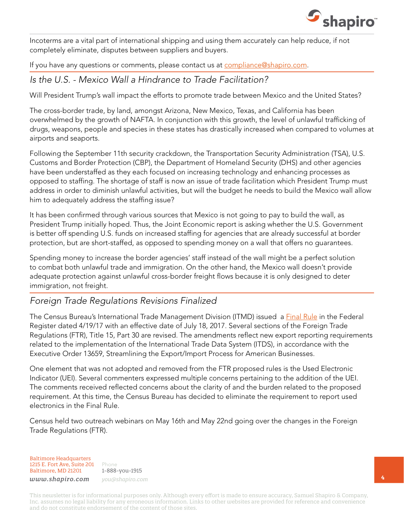

Incoterms are a vital part of international shipping and using them accurately can help reduce, if not completely eliminate, disputes between suppliers and buyers.

If you have any questions or comments, please contact us at [compliance@shapiro.com](mailto:compliance@shapiro.com).

*Is the U.S. - Mexico Wall a Hindrance to Trade Facilitation?* 

Will President Trump's wall impact the efforts to promote trade between Mexico and the United States?

The cross-border trade, by land, amongst Arizona, New Mexico, Texas, and California has been overwhelmed by the growth of NAFTA. In conjunction with this growth, the level of unlawful trafficking of drugs, weapons, people and species in these states has drastically increased when compared to volumes at airports and seaports.

Following the September 11th security crackdown, the Transportation Security Administration (TSA), U.S. Customs and Border Protection (CBP), the Department of Homeland Security (DHS) and other agencies have been understaffed as they each focused on increasing technology and enhancing processes as opposed to staffing. The shortage of staff is now an issue of trade facilitation which President Trump must address in order to diminish unlawful activities, but will the budget he needs to build the Mexico wall allow him to adequately address the staffing issue?

It has been confirmed through various sources that Mexico is not going to pay to build the wall, as President Trump initially hoped. Thus, the Joint Economic report is asking whether the U.S. Government is better off spending U.S. funds on increased staffing for agencies that are already successful at border protection, but are short-staffed, as opposed to spending money on a wall that offers no guarantees.

Spending money to increase the border agencies' staff instead of the wall might be a perfect solution to combat both unlawful trade and immigration. On the other hand, the Mexico wall doesn't provide adequate protection against unlawful cross-border freight flows because it is only designed to deter immigration, not freight.

#### *Foreign Trade Regulations Revisions Finalized*

The Census Bureau's International Trade Management Division (ITMD) issued a [Final Rule](https://www.federalregister.gov/documents/2017/04/19/2017-07646/foreign-trade-regulations-clarification-on-filing-requirements) in the Federal Register dated 4/19/17 with an effective date of July 18, 2017. Several sections of the Foreign Trade Regulations (FTR), Title 15, Part 30 are revised. The amendments reflect new export reporting requirements related to the implementation of the International Trade Data System (ITDS), in accordance with the Executive Order 13659, Streamlining the Export/Import Process for American Businesses.

One element that was not adopted and removed from the FTR proposed rules is the Used Electronic Indicator (UEI). Several commenters expressed multiple concerns pertaining to the addition of the UEI. The comments received reflected concerns about the clarity of and the burden related to the proposed requirement. At this time, the Census Bureau has decided to eliminate the requirement to report used electronics in the Final Rule.

Census held two outreach webinars on May 16th and May 22nd going over the changes in the Foreign Trade Regulations (FTR).

Baltimore Headquarters 1215 E. Fort Ave, Suite 201 Baltimore, MD 21201

Phone 1-888-you-1915 *www.shapiro.com you@shapiro.com*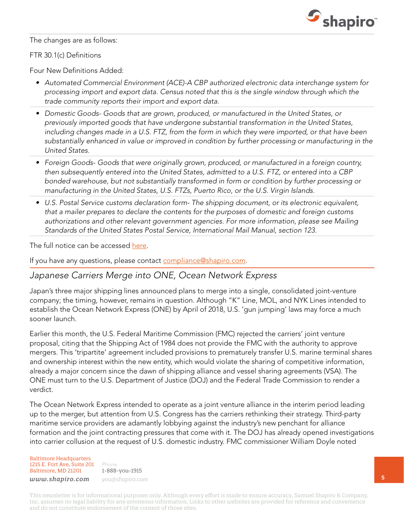

The changes are as follows:

#### FTR 30.1(c) Definitions

Four New Definitions Added:

- *• Automated Commercial Environment (ACE)-A CBP authorized electronic data interchange system for processing import and export data. Census noted that this is the single window through which the trade community reports their import and export data.*
- *• Domestic Goods- Goods that are grown, produced, or manufactured in the United States, or previously imported goods that have undergone substantial transformation in the United States, including changes made in a U.S. FTZ, from the form in which they were imported, or that have been substantially enhanced in value or improved in condition by further processing or manufacturing in the United States.*
- *• Foreign Goods- Goods that were originally grown, produced, or manufactured in a foreign country, then subsequently entered into the United States, admitted to a U.S. FTZ, or entered into a CBP bonded warehouse, but not substantially transformed in form or condition by further processing or manufacturing in the United States, U.S. FTZs, Puerto Rico, or the U.S. Virgin Islands.*
- *• U.S. Postal Service customs declaration form- The shipping document, or its electronic equivalent, that a mailer prepares to declare the contents for the purposes of domestic and foreign customs authorizations and other relevant government agencies. For more information, please see Mailing Standards of the United States Postal Service, International Mail Manual, section 123.*

The full notice can be accessed [here](https://www.federalregister.gov/documents/2017/04/19/2017-07646/foreign-trade-regulations-clarification-on-filing-requirements).

If you have any questions, please contact [compliance@shapiro.com](mailto:compliance@shapiro.com).

#### *Japanese Carriers Merge into ONE, Ocean Network Express*

Japan's three major shipping lines announced plans to merge into a single, consolidated joint-venture company; the timing, however, remains in question. Although "K" Line, MOL, and NYK Lines intended to establish the Ocean Network Express (ONE) by April of 2018, U.S. 'gun jumping' laws may force a much sooner launch.

Earlier this month, the U.S. Federal Maritime Commission (FMC) rejected the carriers' joint venture proposal, citing that the Shipping Act of 1984 does not provide the FMC with the authority to approve mergers. This 'tripartite' agreement included provisions to prematurely transfer U.S. marine terminal shares and ownership interest within the new entity, which would violate the sharing of competitive information, already a major concern since the dawn of shipping alliance and vessel sharing agreements (VSA). The ONE must turn to the U.S. Department of Justice (DOJ) and the Federal Trade Commission to render a verdict.

The Ocean Network Express intended to operate as a joint venture alliance in the interim period leading up to the merger, but attention from U.S. Congress has the carriers rethinking their strategy. Third-party maritime service providers are adamantly lobbying against the industry's new penchant for alliance formation and the joint contracting pressures that come with it. The DOJ has already opened investigations into carrier collusion at the request of U.S. domestic industry. FMC commissioner William Doyle noted

Baltimore Headquarters 1215 E. Fort Ave, Suite 201 Baltimore, MD 21201

Phone 1-888-you-1915 *www.shapiro.com you@shapiro.com*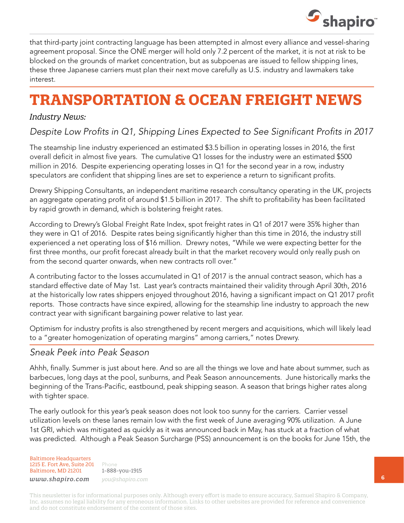

that third-party joint contracting language has been attempted in almost every alliance and vessel-sharing agreement proposal. Since the ONE merger will hold only 7.2 percent of the market, it is not at risk to be blocked on the grounds of market concentration, but as subpoenas are issued to fellow shipping lines, these three Japanese carriers must plan their next move carefully as U.S. industry and lawmakers take interest.

# **TRANSPORTATION & OCEAN FREIGHT NEWS**

#### *Industry News:*

### *Despite Low Profits in Q1, Shipping Lines Expected to See Significant Profits in 2017*

The steamship line industry experienced an estimated \$3.5 billion in operating losses in 2016, the first overall deficit in almost five years. The cumulative Q1 losses for the industry were an estimated \$500 million in 2016. Despite experiencing operating losses in  $Q1$  for the second year in a row, industry speculators are confident that shipping lines are set to experience a return to significant profits.

Drewry Shipping Consultants, an independent maritime research consultancy operating in the UK, projects an aggregate operating profit of around \$1.5 billion in 2017. The shift to profitability has been facilitated by rapid growth in demand, which is bolstering freight rates.

According to Drewry's Global Freight Rate Index, spot freight rates in Q1 of 2017 were 35% higher than they were in Q1 of 2016. Despite rates being significantly higher than this time in 2016, the industry still experienced a net operating loss of \$16 million. Drewry notes, "While we were expecting better for the first three months, our profit forecast already built in that the market recovery would only really push on from the second quarter onwards, when new contracts roll over."

A contributing factor to the losses accumulated in Q1 of 2017 is the annual contract season, which has a standard effective date of May 1st. Last year's contracts maintained their validity through April 30th, 2016 at the historically low rates shippers enjoyed throughout 2016, having a significant impact on Q1 2017 profit reports. Those contracts have since expired, allowing for the steamship line industry to approach the new contract year with significant bargaining power relative to last year.

Optimism for industry profits is also strengthened by recent mergers and acquisitions, which will likely lead to a "greater homogenization of operating margins" among carriers," notes Drewry.

#### *Sneak Peek into Peak Season*

Ahhh, finally. Summer is just about here. And so are all the things we love and hate about summer, such as barbecues, long days at the pool, sunburns, and Peak Season announcements. June historically marks the beginning of the Trans-Pacific, eastbound, peak shipping season. A season that brings higher rates along with tighter space.

The early outlook for this year's peak season does not look too sunny for the carriers. Carrier vessel utilization levels on these lanes remain low with the first week of June averaging 90% utilization. A June 1st GRI, which was mitigated as quickly as it was announced back in May, has stuck at a fraction of what was predicted. Although a Peak Season Surcharge (PSS) announcement is on the books for June 15th, the

Baltimore Headquarters 1215 E. Fort Ave, Suite 201 Baltimore, MD 21201

Phone 1-888-you-1915 *www.shapiro.com you@shapiro.com*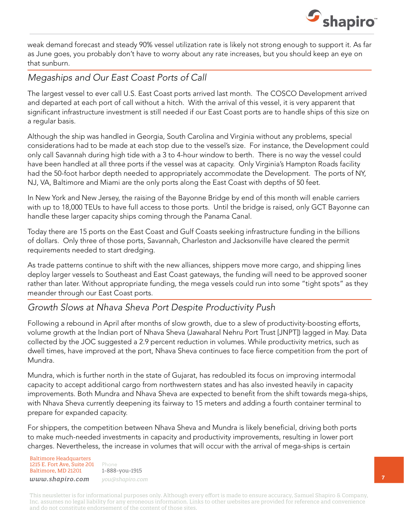

weak demand forecast and steady 90% vessel utilization rate is likely not strong enough to support it. As far as June goes, you probably don't have to worry about any rate increases, but you should keep an eye on that sunburn.

## *Megaships and Our East Coast Ports of Call*

The largest vessel to ever call U.S. East Coast ports arrived last month. The COSCO Development arrived and departed at each port of call without a hitch. With the arrival of this vessel, it is very apparent that significant infrastructure investment is still needed if our East Coast ports are to handle ships of this size on a regular basis.

Although the ship was handled in Georgia, South Carolina and Virginia without any problems, special considerations had to be made at each stop due to the vessel's size. For instance, the Development could only call Savannah during high tide with a 3 to 4-hour window to berth. There is no way the vessel could have been handled at all three ports if the vessel was at capacity. Only Virginia's Hampton Roads facility had the 50-foot harbor depth needed to appropriately accommodate the Development. The ports of NY, NJ, VA, Baltimore and Miami are the only ports along the East Coast with depths of 50 feet.

In New York and New Jersey, the raising of the Bayonne Bridge by end of this month will enable carriers with up to 18,000 TEUs to have full access to those ports. Until the bridge is raised, only GCT Bayonne can handle these larger capacity ships coming through the Panama Canal.

Today there are 15 ports on the East Coast and Gulf Coasts seeking infrastructure funding in the billions of dollars. Only three of those ports, Savannah, Charleston and Jacksonville have cleared the permit requirements needed to start dredging.

As trade patterns continue to shift with the new alliances, shippers move more cargo, and shipping lines deploy larger vessels to Southeast and East Coast gateways, the funding will need to be approved sooner rather than later. Without appropriate funding, the mega vessels could run into some "tight spots" as they meander through our East Coast ports.

#### *Growth Slows at Nhava Sheva Port Despite Productivity Push*

Following a rebound in April after months of slow growth, due to a slew of productivity-boosting efforts, volume growth at the Indian port of Nhava Sheva (Jawaharal Nehru Port Trust [JNPT]) lagged in May. Data collected by the JOC suggested a 2.9 percent reduction in volumes. While productivity metrics, such as dwell times, have improved at the port, Nhava Sheva continues to face fierce competition from the port of Mundra.

Mundra, which is further north in the state of Gujarat, has redoubled its focus on improving intermodal capacity to accept additional cargo from northwestern states and has also invested heavily in capacity improvements. Both Mundra and Nhava Sheva are expected to benefit from the shift towards mega-ships, with Nhava Sheva currently deepening its fairway to 15 meters and adding a fourth container terminal to prepare for expanded capacity.

For shippers, the competition between Nhava Sheva and Mundra is likely beneficial, driving both ports to make much-needed investments in capacity and productivity improvements, resulting in lower port charges. Nevertheless, the increase in volumes that will occur with the arrival of mega-ships is certain

Baltimore Headquarters 1215 E. Fort Ave, Suite 201 Baltimore, MD 21201

Phone 1-888-you-1915 *www.shapiro.com you@shapiro.com*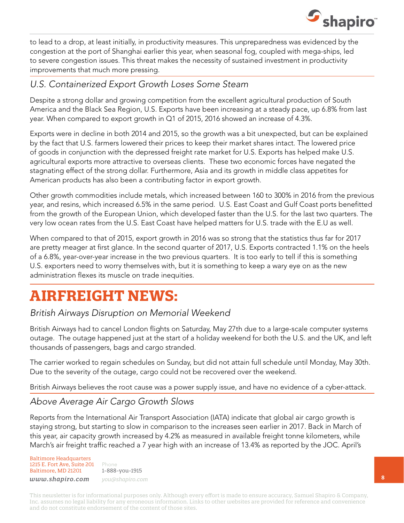

to lead to a drop, at least initially, in productivity measures. This unpreparedness was evidenced by the congestion at the port of Shanghai earlier this year, when seasonal fog, coupled with mega-ships, led to severe congestion issues. This threat makes the necessity of sustained investment in productivity improvements that much more pressing.

#### *U.S. Containerized Export Growth Loses Some Steam*

Despite a strong dollar and growing competition from the excellent agricultural production of South America and the Black Sea Region, U.S. Exports have been increasing at a steady pace, up 6.8% from last year. When compared to export growth in Q1 of 2015, 2016 showed an increase of 4.3%.

Exports were in decline in both 2014 and 2015, so the growth was a bit unexpected, but can be explained by the fact that U.S. farmers lowered their prices to keep their market shares intact. The lowered price of goods in conjunction with the depressed freight rate market for U.S. Exports has helped make U.S. agricultural exports more attractive to overseas clients. These two economic forces have negated the stagnating effect of the strong dollar. Furthermore, Asia and its growth in middle class appetites for American products has also been a contributing factor in export growth.

Other growth commodities include metals, which increased between 160 to 300% in 2016 from the previous year, and resins, which increased 6.5% in the same period. U.S. East Coast and Gulf Coast ports benefitted from the growth of the European Union, which developed faster than the U.S. for the last two quarters. The very low ocean rates from the U.S. East Coast have helped matters for U.S. trade with the E.U as well.

When compared to that of 2015, export growth in 2016 was so strong that the statistics thus far for 2017 are pretty meager at first glance. In the second quarter of 2017, U.S. Exports contracted 1.1% on the heels of a 6.8%, year-over-year increase in the two previous quarters. It is too early to tell if this is something U.S. exporters need to worry themselves with, but it is something to keep a wary eye on as the new administration flexes its muscle on trade inequities.

## **AIRFREIGHT NEWS:**

#### *British Airways Disruption on Memorial Weekend*

British Airways had to cancel London flights on Saturday, May 27th due to a large-scale computer systems outage. The outage happened just at the start of a holiday weekend for both the U.S. and the UK, and left thousands of passengers, bags and cargo stranded.

The carrier worked to regain schedules on Sunday, but did not attain full schedule until Monday, May 30th. Due to the severity of the outage, cargo could not be recovered over the weekend.

British Airways believes the root cause was a power supply issue, and have no evidence of a cyber-attack.

#### *Above Average Air Cargo Growth Slows*

Reports from the International Air Transport Association (IATA) indicate that global air cargo growth is staying strong, but starting to slow in comparison to the increases seen earlier in 2017. Back in March of this year, air capacity growth increased by 4.2% as measured in available freight tonne kilometers, while March's air freight traffic reached a 7 year high with an increase of 13.4% as reported by the JOC. April's

Baltimore Headquarters 1215 E. Fort Ave, Suite 201 Baltimore, MD 21201

Phone 1-888-you-1915 *www.shapiro.com you@shapiro.com*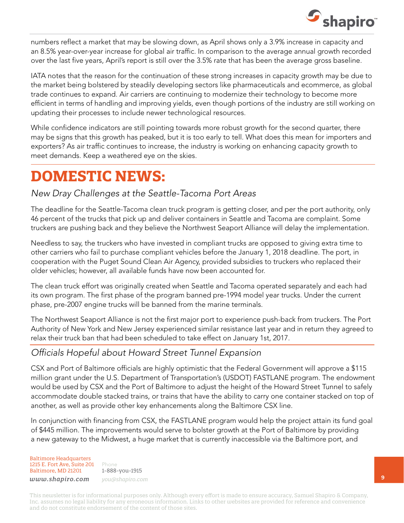

numbers reflect a market that may be slowing down, as April shows only a 3.9% increase in capacity and an 8.5% year-over-year increase for global air traffic. In comparison to the average annual growth recorded over the last five years, April's report is still over the 3.5% rate that has been the average gross baseline.

IATA notes that the reason for the continuation of these strong increases in capacity growth may be due to the market being bolstered by steadily developing sectors like pharmaceuticals and ecommerce, as global trade continues to expand. Air carriers are continuing to modernize their technology to become more efficient in terms of handling and improving yields, even though portions of the industry are still working on updating their processes to include newer technological resources.

While confidence indicators are still pointing towards more robust growth for the second quarter, there may be signs that this growth has peaked, but it is too early to tell. What does this mean for importers and exporters? As air traffic continues to increase, the industry is working on enhancing capacity growth to meet demands. Keep a weathered eye on the skies.

## **DOMESTIC NEWS:**

#### *New Dray Challenges at the Seattle-Tacoma Port Areas*

The deadline for the Seattle-Tacoma clean truck program is getting closer, and per the port authority, only 46 percent of the trucks that pick up and deliver containers in Seattle and Tacoma are complaint. Some truckers are pushing back and they believe the Northwest Seaport Alliance will delay the implementation.

Needless to say, the truckers who have invested in compliant trucks are opposed to giving extra time to other carriers who fail to purchase compliant vehicles before the January 1, 2018 deadline. The port, in cooperation with the Puget Sound Clean Air Agency, provided subsidies to truckers who replaced their older vehicles; however, all available funds have now been accounted for.

The clean truck effort was originally created when Seattle and Tacoma operated separately and each had its own program. The first phase of the program banned pre-1994 model year trucks. Under the current phase, pre-2007 engine trucks will be banned from the marine terminals.

The Northwest Seaport Alliance is not the first major port to experience push-back from truckers. The Port Authority of New York and New Jersey experienced similar resistance last year and in return they agreed to relax their truck ban that had been scheduled to take effect on January 1st, 2017.

#### *Officials Hopeful about Howard Street Tunnel Expansion*

CSX and Port of Baltimore officials are highly optimistic that the Federal Government will approve a \$115 million grant under the U.S. Department of Transportation's (USDOT) FASTLANE program. The endowment would be used by CSX and the Port of Baltimore to adjust the height of the Howard Street Tunnel to safely accommodate double stacked trains, or trains that have the ability to carry one container stacked on top of another, as well as provide other key enhancements along the Baltimore CSX line.

In conjunction with financing from CSX, the FASTLANE program would help the project attain its fund goal of \$445 million. The improvements would serve to bolster growth at the Port of Baltimore by providing a new gateway to the Midwest, a huge market that is currently inaccessible via the Baltimore port, and

Baltimore Headquarters 1215 E. Fort Ave, Suite 201 Baltimore, MD 21201

Phone 1-888-you-1915 *www.shapiro.com you@shapiro.com*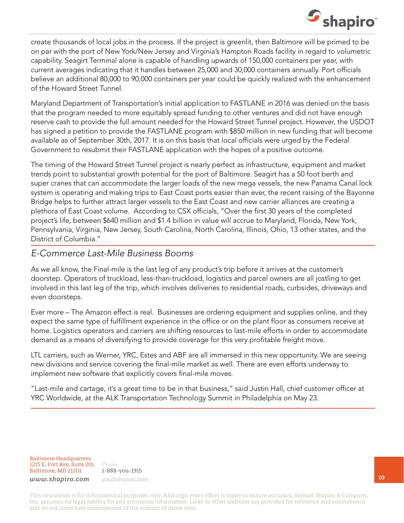

create thousands of local jobs in the process. If the project is greenlit, then Baltimore will be primed to be on par with the port of New York/New Jersey and Virginia's Hampton Roads facility in regard to volumetric capability. Seagirt Terminal alone is capable of handling upwards of 150,000 containers per year, with current averages indicating that it handles between 25,000 and 30,000 containers annually. Port officials believe an additional 80,000 to 90,000 containers per year could be quickly realized with the enhancement of the Howard Street Tunnel.

Maryland Department of Transportation's initial application to FASTLANE in 2016 was denied on the basis that the program needed to more equitably spread funding to other ventures and did not have enough reserve cash to provide the full amount needed for the Howard Street Tunnel project. However, the USDOT has signed a petition to provide the FASTLANE program with \$850 million in new funding that will become available as of September 30th, 2017. It is on this basis that local officials were urged by the Federal Government to resubmit their FASTLANE application with the hopes of a positive outcome.

The timing of the Howard Street Tunnel project is nearly perfect as infrastructure, equipment and market trends point to substantial growth potential for the port of Baltimore. Seagirt has a 50 foot berth and super cranes that can accommodate the larger loads of the new mega vessels, the new Panama Canal lock system is operating and making trips to East Coast ports easier than ever, the recent raising of the Bayonne Bridge helps to further attract larger vessels to the East Coast and new carrier alliances are creating a plethora of East Coast volume. According to CSX officials, "Over the first 30 years of the completed project's life, between \$640 million and \$1.4 billion in value will accrue to Maryland, Florida, New York, Pennsylvania, Virginia, New Jersey, South Carolina, North Carolina, Illinois, Ohio, 13 other states, and the District of Columbia."

#### *E-Commerce Last-Mile Business Booms*

As we all know, the Final-mile is the last leg of any product's trip before it arrives at the customer's doorstep. Operators of truckload, less-than-truckload, logistics and parcel owners are all jostling to get involved in this last leg of the trip, which involves deliveries to residential roads, curbsides, driveways and even doorsteps.

Ever more – The Amazon effect is real. Businesses are ordering equipment and supplies online, and they expect the same type of fulfillment experience in the office or on the plant floor as consumers receive at home. Logistics operators and carriers are shifting resources to last-mile efforts in order to accommodate demand as a means of diversifying to provide coverage for this very profitable freight move.

LTL carriers, such as Werner, YRC, Estes and ABF are all immersed in this new opportunity. We are seeing new divisions and service covering the final-mile market as well. There are even efforts underway to implement new software that explicitly covers final-mile moves.

"Last-mile and cartage, it's a great time to be in that business," said Justin Hall, chief customer officer at YRC Worldwide, at the ALK Transportation Technology Summit in Philadelphia on May 23.

Baltimore Headquarters 1215 E. Fort Ave, Suite 201 Baltimore, MD 21201

Phone 1-888-you-1915 *www.shapiro.com you@shapiro.com*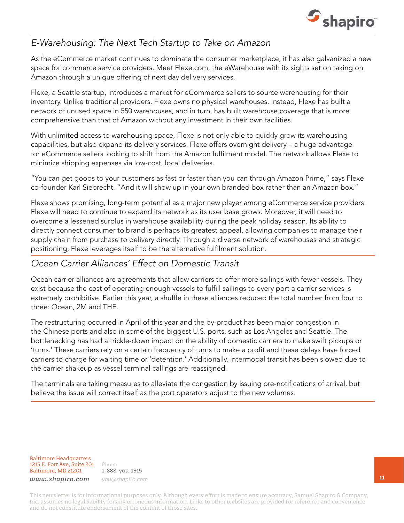

#### *E-Warehousing: The Next Tech Startup to Take on Amazon*

As the eCommerce market continues to dominate the consumer marketplace, it has also galvanized a new space for commerce service providers. Meet Flexe.com, the eWarehouse with its sights set on taking on Amazon through a unique offering of next day delivery services.

Flexe, a Seattle startup, introduces a market for eCommerce sellers to source warehousing for their inventory. Unlike traditional providers, Flexe owns no physical warehouses. Instead, Flexe has built a network of unused space in 550 warehouses, and in turn, has built warehouse coverage that is more comprehensive than that of Amazon without any investment in their own facilities.

With unlimited access to warehousing space, Flexe is not only able to quickly grow its warehousing capabilities, but also expand its delivery services. Flexe offers overnight delivery – a huge advantage for eCommerce sellers looking to shift from the Amazon fulfilment model. The network allows Flexe to minimize shipping expenses via low-cost, local deliveries.

"You can get goods to your customers as fast or faster than you can through Amazon Prime," says Flexe co-founder Karl Siebrecht. "And it will show up in your own branded box rather than an Amazon box."

Flexe shows promising, long-term potential as a major new player among eCommerce service providers. Flexe will need to continue to expand its network as its user base grows. Moreover, it will need to overcome a lessened surplus in warehouse availability during the peak holiday season. Its ability to directly connect consumer to brand is perhaps its greatest appeal, allowing companies to manage their supply chain from purchase to delivery directly. Through a diverse network of warehouses and strategic positioning, Flexe leverages itself to be the alternative fulfilment solution.

#### *Ocean Carrier Alliances' Effect on Domestic Transit*

Ocean carrier alliances are agreements that allow carriers to offer more sailings with fewer vessels. They exist because the cost of operating enough vessels to fulfill sailings to every port a carrier services is extremely prohibitive. Earlier this year, a shuffle in these alliances reduced the total number from four to three: Ocean, 2M and THE.

The restructuring occurred in April of this year and the by-product has been major congestion in the Chinese ports and also in some of the biggest U.S. ports, such as Los Angeles and Seattle. The bottlenecking has had a trickle-down impact on the ability of domestic carriers to make swift pickups or 'turns.' These carriers rely on a certain frequency of turns to make a profit and these delays have forced carriers to charge for waiting time or 'detention.' Additionally, intermodal transit has been slowed due to the carrier shakeup as vessel terminal callings are reassigned.

The terminals are taking measures to alleviate the congestion by issuing pre-notifications of arrival, but believe the issue will correct itself as the port operators adjust to the new volumes.

Baltimore Headquarters 1215 E. Fort Ave, Suite 201 Baltimore, MD 21201

Phone 1-888-you-1915 *www.shapiro.com you@shapiro.com*